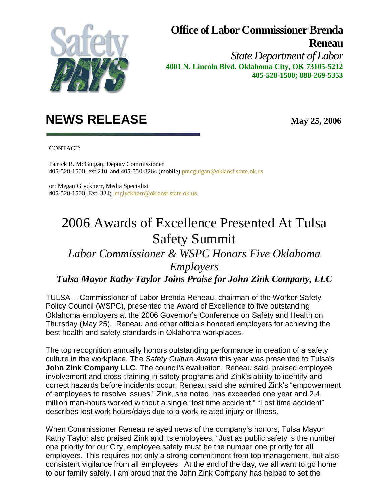

## **Office of Labor Commissioner Brenda Reneau**

*State Department of Labor* **4001 N. Lincoln Blvd. Oklahoma City, OK 73105-5212 405-528-1500; 888-269-5353**

## **NEWS RELEASE May 25, 2006**

CONTACT:

 Patrick B. McGuigan, Deputy Commissioner 405-528-1500, ext 210 and 405-550-8264 (mobile) pmcguigan@oklaosf.state.ok.us

 or: Megan Glyckherr, Media Specialist 405-528-1500, Ext. 334; mglyckherr@oklaosf.state.ok.us

## 2006 Awards of Excellence Presented At Tulsa Safety Summit

## *Labor Commissioner & WSPC Honors Five Oklahoma Employers*

*Tulsa Mayor Kathy Taylor Joins Praise for John Zink Company, LLC*

TULSA -- Commissioner of Labor Brenda Reneau, chairman of the Worker Safety Policy Council (WSPC), presented the Award of Excellence to five outstanding Oklahoma employers at the 2006 Governor's Conference on Safety and Health on Thursday (May 25). Reneau and other officials honored employers for achieving the best health and safety standards in Oklahoma workplaces.

The top recognition annually honors outstanding performance in creation of a safety culture in the workplace. The *Safety Culture Award* this year was presented to Tulsa's **John Zink Company LLC**. The council's evaluation, Reneau said, praised employee involvement and cross-training in safety programs and Zink's ability to identify and correct hazards before incidents occur. Reneau said she admired Zink's "empowerment of employees to resolve issues." Zink, she noted, has exceeded one year and 2.4 million man-hours worked without a single "lost time accident." "Lost time accident" describes lost work hours/days due to a work-related injury or illness.

When Commissioner Reneau relayed news of the company's honors, Tulsa Mayor Kathy Taylor also praised Zink and its employees. "Just as public safety is the number one priority for our City, employee safety must be the number one priority for all employers. This requires not only a strong commitment from top management, but also consistent vigilance from all employees. At the end of the day, we all want to go home to our family safely. I am proud that the John Zink Company has helped to set the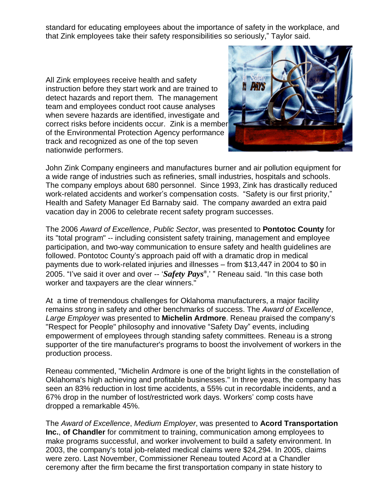standard for educating employees about the importance of safety in the workplace, and that Zink employees take their safety responsibilities so seriously," Taylor said.

All Zink employees receive health and safety instruction before they start work and are trained to detect hazards and report them. The management team and employees conduct root cause analyses when severe hazards are identified, investigate and correct risks before incidents occur. Zink is a member of the Environmental Protection Agency performance track and recognized as one of the top seven nationwide performers.



John Zink Company engineers and manufactures burner and air pollution equipment for a wide range of industries such as refineries, small industries, hospitals and schools. The company employs about 680 personnel. Since 1993, Zink has drastically reduced work-related accidents and worker's compensation costs. "Safety is our first priority," Health and Safety Manager Ed Barnaby said. The company awarded an extra paid vacation day in 2006 to celebrate recent safety program successes.

The 2006 *Award of Excellence*, *Public Sector*, was presented to **Pontotoc County** for its "total program" -- including consistent safety training, management and employee participation, and two-way communication to ensure safety and health guidelines are followed. Pontotoc County's approach paid off with a dramatic drop in medical payments due to work-related injuries and illnesses – from \$13,447 in 2004 to \$0 in 2005. "I've said it over and over -- '*Safety Pays®* ,'" Reneau said. "In this case both worker and taxpayers are the clear winners."

At a time of tremendous challenges for Oklahoma manufacturers, a major facility remains strong in safety and other benchmarks of success. The *Award of Excellence*, *Large Employer* was presented to **Michelin Ardmore**. Reneau praised the company's "Respect for People" philosophy and innovative "Safety Day" events, including empowerment of employees through standing safety committees. Reneau is a strong supporter of the tire manufacturer's programs to boost the involvement of workers in the production process.

Reneau commented, "Michelin Ardmore is one of the bright lights in the constellation of Oklahoma's high achieving and profitable businesses." In three years, the company has seen an 83% reduction in lost time accidents, a 55% cut in recordable incidents, and a 67% drop in the number of lost/restricted work days. Workers' comp costs have dropped a remarkable 45%.

The *Award of Excellence*, *Medium Employer*, was presented to **Acord Transportation Inc.**, **of Chandler** for commitment to training, communication among employees to make programs successful, and worker involvement to build a safety environment. In 2003, the company's total job-related medical claims were \$24,294. In 2005, claims were zero. Last November, Commissioner Reneau touted Acord at a Chandler ceremony after the firm became the first transportation company in state history to